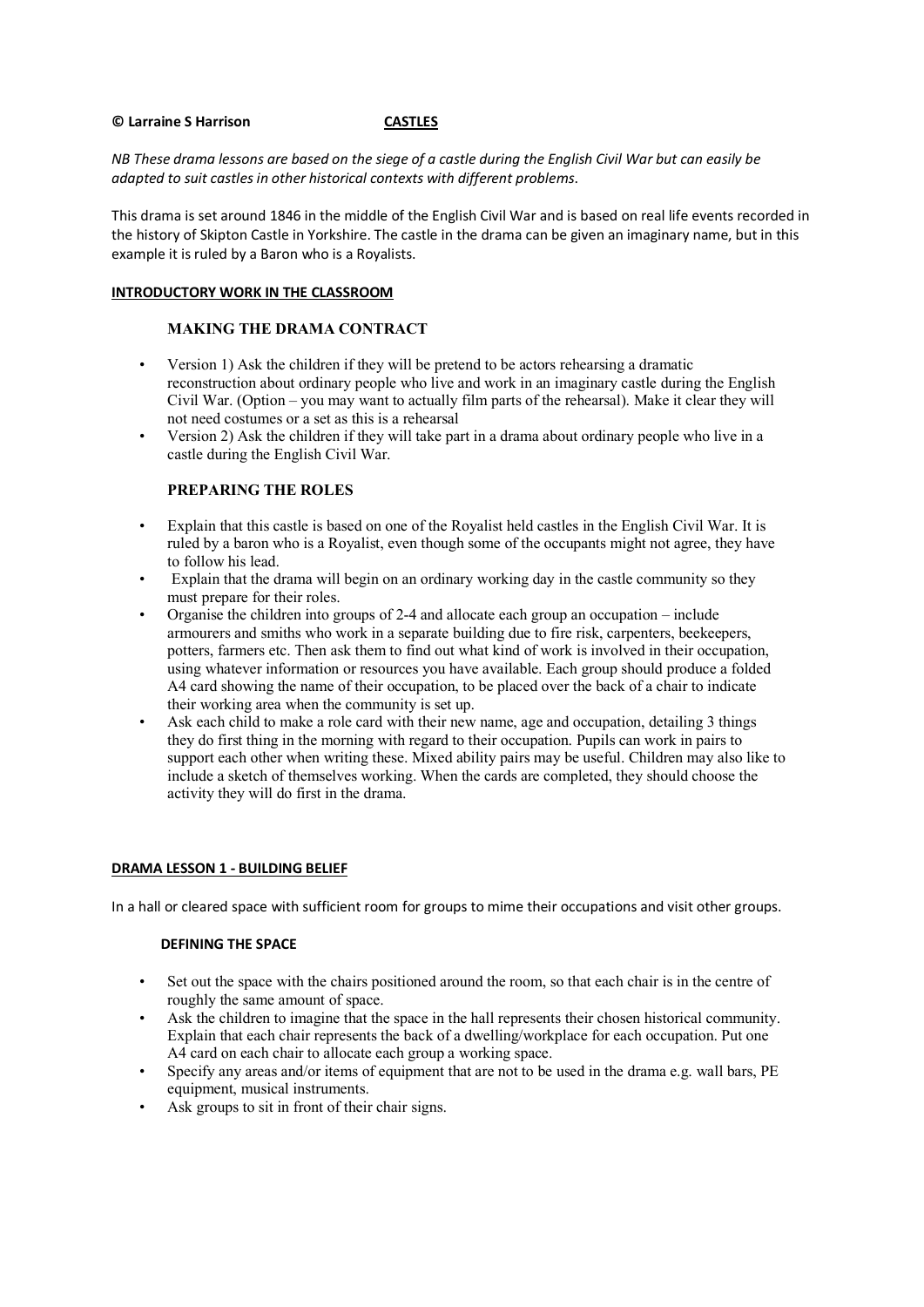### **© Larraine S Harrison CASTLES**

*NB These drama lessons are based on the siege of a castle during the English Civil War but can easily be adapted to suit castles in other historical contexts with different problems*.

This drama is set around 1846 in the middle of the English Civil War and is based on real life events recorded in the history of Skipton Castle in Yorkshire. The castle in the drama can be given an imaginary name, but in this example it is ruled by a Baron who is a Royalists.

## **INTRODUCTORY WORK IN THE CLASSROOM**

## **MAKING THE DRAMA CONTRACT**

- Version 1) Ask the children if they will be pretend to be actors rehearsing a dramatic reconstruction about ordinary people who live and work in an imaginary castle during the English Civil War. (Option – you may want to actually film parts of the rehearsal). Make it clear they will not need costumes or a set as this is a rehearsal
- Version 2) Ask the children if they will take part in a drama about ordinary people who live in a castle during the English Civil War.

# **PREPARING THE ROLES**

- Explain that this castle is based on one of the Royalist held castles in the English Civil War. It is ruled by a baron who is a Royalist, even though some of the occupants might not agree, they have to follow his lead.
- Explain that the drama will begin on an ordinary working day in the castle community so they must prepare for their roles.
- Organise the children into groups of 2-4 and allocate each group an occupation include armourers and smiths who work in a separate building due to fire risk, carpenters, beekeepers, potters, farmers etc. Then ask them to find out what kind of work is involved in their occupation, using whatever information or resources you have available. Each group should produce a folded A4 card showing the name of their occupation, to be placed over the back of a chair to indicate their working area when the community is set up.
- Ask each child to make a role card with their new name, age and occupation, detailing 3 things they do first thing in the morning with regard to their occupation. Pupils can work in pairs to support each other when writing these. Mixed ability pairs may be useful. Children may also like to include a sketch of themselves working. When the cards are completed, they should choose the activity they will do first in the drama.

### **DRAMA LESSON 1 - BUILDING BELIEF**

In a hall or cleared space with sufficient room for groups to mime their occupations and visit other groups.

### **DEFINING THE SPACE**

- Set out the space with the chairs positioned around the room, so that each chair is in the centre of roughly the same amount of space.
- Ask the children to imagine that the space in the hall represents their chosen historical community. Explain that each chair represents the back of a dwelling/workplace for each occupation. Put one A4 card on each chair to allocate each group a working space.
- Specify any areas and/or items of equipment that are not to be used in the drama e.g. wall bars, PE equipment, musical instruments.
- Ask groups to sit in front of their chair signs.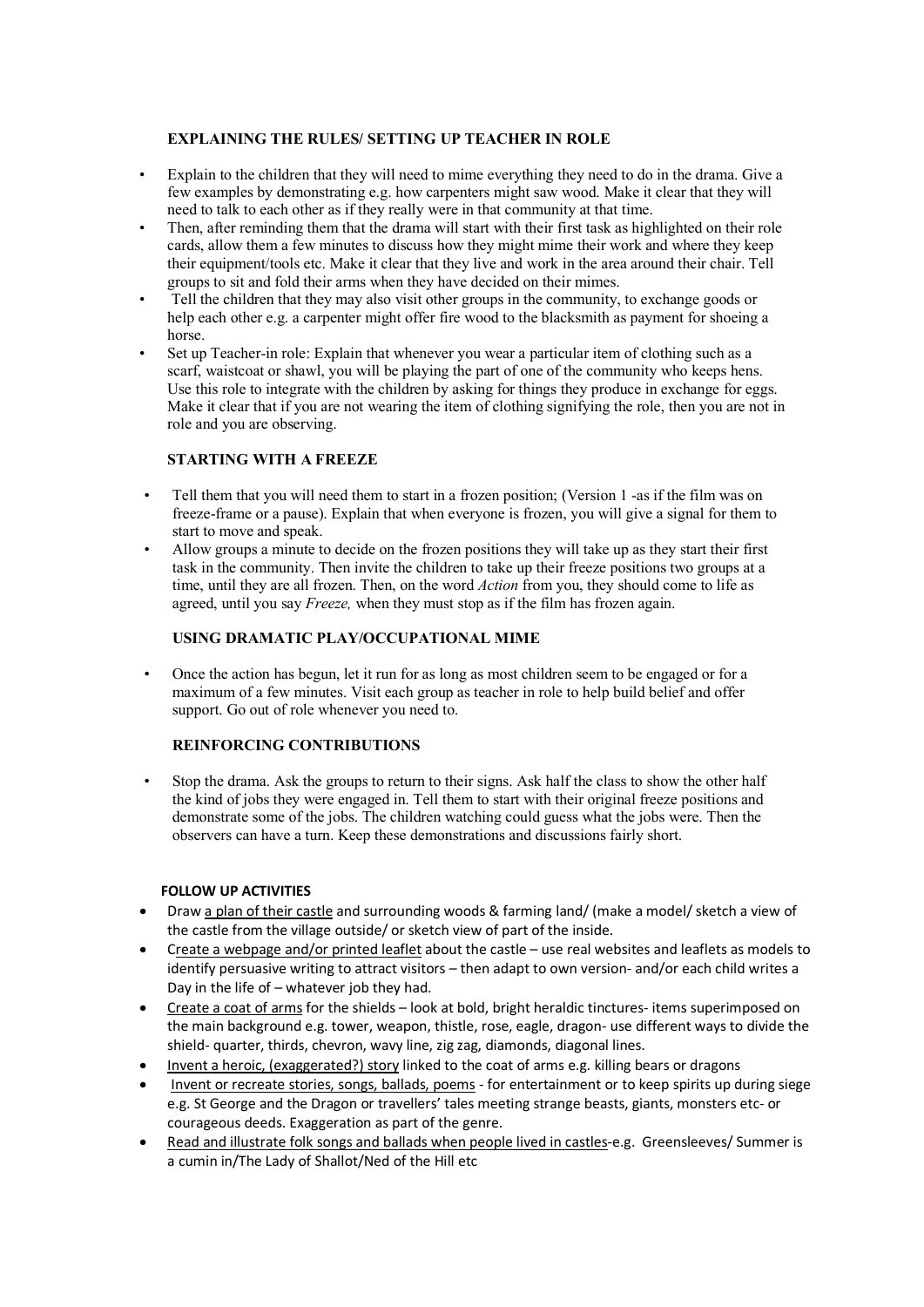## **EXPLAINING THE RULES/ SETTING UP TEACHER IN ROLE**

- Explain to the children that they will need to mime everything they need to do in the drama. Give a few examples by demonstrating e.g. how carpenters might saw wood. Make it clear that they will need to talk to each other as if they really were in that community at that time.
- Then, after reminding them that the drama will start with their first task as highlighted on their role cards, allow them a few minutes to discuss how they might mime their work and where they keep their equipment/tools etc. Make it clear that they live and work in the area around their chair. Tell groups to sit and fold their arms when they have decided on their mimes.
- Tell the children that they may also visit other groups in the community, to exchange goods or help each other e.g. a carpenter might offer fire wood to the blacksmith as payment for shoeing a horse.
- Set up Teacher-in role: Explain that whenever you wear a particular item of clothing such as a scarf, waistcoat or shawl, you will be playing the part of one of the community who keeps hens. Use this role to integrate with the children by asking for things they produce in exchange for eggs. Make it clear that if you are not wearing the item of clothing signifying the role, then you are not in role and you are observing.

# **STARTING WITH A FREEZE**

- Tell them that you will need them to start in a frozen position; (Version 1 -as if the film was on freeze-frame or a pause). Explain that when everyone is frozen, you will give a signal for them to start to move and speak.
- Allow groups a minute to decide on the frozen positions they will take up as they start their first task in the community. Then invite the children to take up their freeze positions two groups at a time, until they are all frozen. Then, on the word *Action* from you, they should come to life as agreed, until you say *Freeze,* when they must stop as if the film has frozen again.

# **USING DRAMATIC PLAY/OCCUPATIONAL MIME**

• Once the action has begun, let it run for as long as most children seem to be engaged or for a maximum of a few minutes. Visit each group as teacher in role to help build belief and offer support. Go out of role whenever you need to.

# **REINFORCING CONTRIBUTIONS**

• Stop the drama. Ask the groups to return to their signs. Ask half the class to show the other half the kind of jobs they were engaged in. Tell them to start with their original freeze positions and demonstrate some of the jobs. The children watching could guess what the jobs were. Then the observers can have a turn. Keep these demonstrations and discussions fairly short.

# **FOLLOW UP ACTIVITIES**

- Draw a plan of their castle and surrounding woods & farming land/ (make a model/ sketch a view of the castle from the village outside/ or sketch view of part of the inside.
- Create a webpage and/or printed leaflet about the castle use real websites and leaflets as models to identify persuasive writing to attract visitors – then adapt to own version- and/or each child writes a Day in the life of – whatever job they had.
- Create a coat of arms for the shields look at bold, bright heraldic tinctures- items superimposed on the main background e.g. tower, weapon, thistle, rose, eagle, dragon- use different ways to divide the shield- quarter, thirds, chevron, wavy line, zig zag, diamonds, diagonal lines.
- Invent a heroic, (exaggerated?) story linked to the coat of arms e.g. killing bears or dragons
- Invent or recreate stories, songs, ballads, poems for entertainment or to keep spirits up during siege e.g. St George and the Dragon or travellers' tales meeting strange beasts, giants, monsters etc- or courageous deeds. Exaggeration as part of the genre.
- Read and illustrate folk songs and ballads when people lived in castles-e.g. Greensleeves/ Summer is a cumin in/The Lady of Shallot/Ned of the Hill etc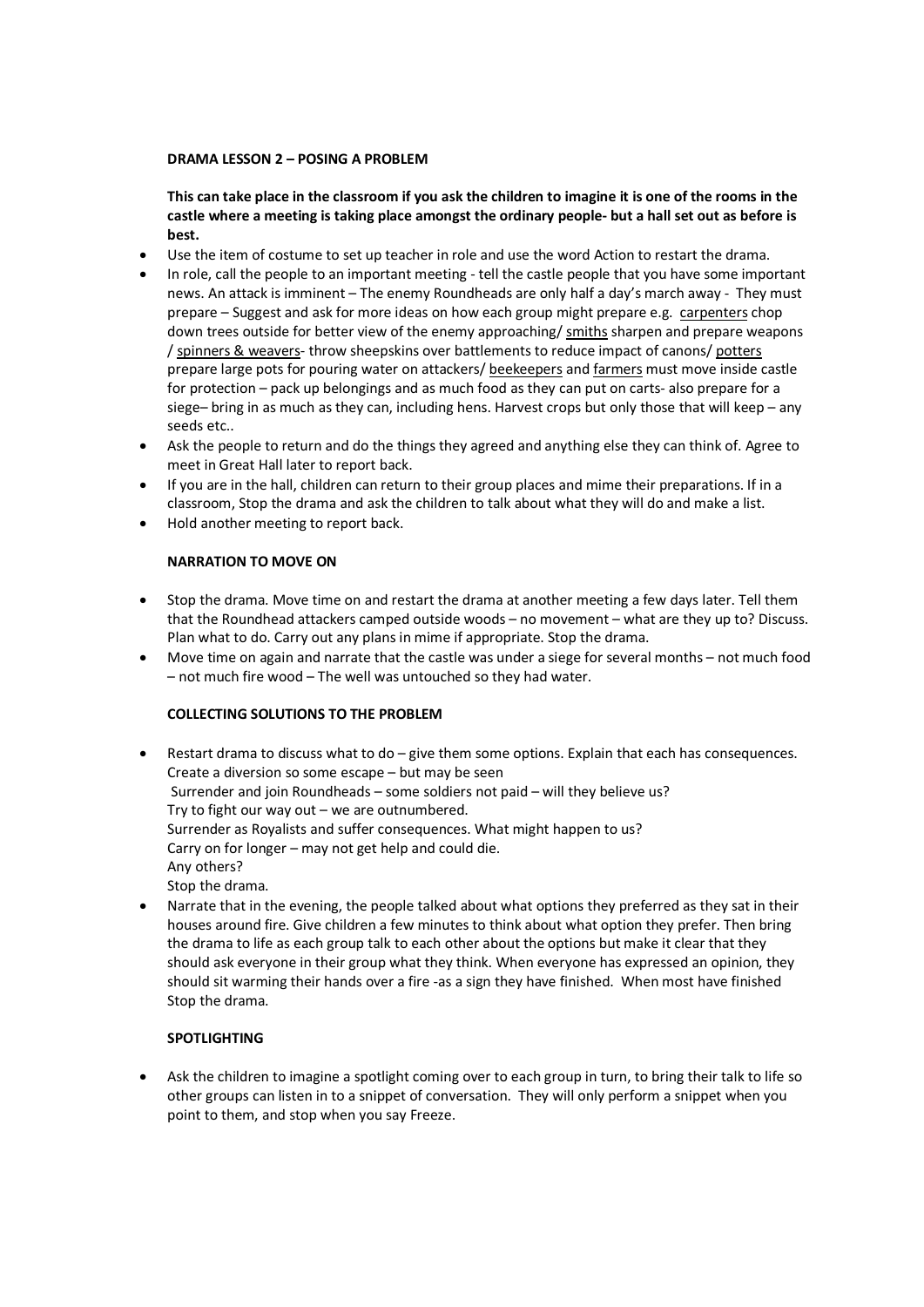## **DRAMA LESSON 2 – POSING A PROBLEM**

**This can take place in the classroom if you ask the children to imagine it is one of the rooms in the castle where a meeting is taking place amongst the ordinary people- but a hall set out as before is best.** 

- Use the item of costume to set up teacher in role and use the word Action to restart the drama.
- In role, call the people to an important meeting tell the castle people that you have some important news. An attack is imminent – The enemy Roundheads are only half a day's march away - They must prepare – Suggest and ask for more ideas on how each group might prepare e.g. carpenters chop down trees outside for better view of the enemy approaching/ smiths sharpen and prepare weapons / spinners & weavers- throw sheepskins over battlements to reduce impact of canons/ potters prepare large pots for pouring water on attackers/ beekeepers and farmers must move inside castle for protection – pack up belongings and as much food as they can put on carts- also prepare for a siege– bring in as much as they can, including hens. Harvest crops but only those that will keep – any seeds etc..
- Ask the people to return and do the things they agreed and anything else they can think of. Agree to meet in Great Hall later to report back.
- If you are in the hall, children can return to their group places and mime their preparations. If in a classroom, Stop the drama and ask the children to talk about what they will do and make a list.
- Hold another meeting to report back.

## **NARRATION TO MOVE ON**

- Stop the drama. Move time on and restart the drama at another meeting a few days later. Tell them that the Roundhead attackers camped outside woods – no movement – what are they up to? Discuss. Plan what to do. Carry out any plans in mime if appropriate. Stop the drama.
- Move time on again and narrate that the castle was under a siege for several months not much food – not much fire wood – The well was untouched so they had water.

## **COLLECTING SOLUTIONS TO THE PROBLEM**

- Restart drama to discuss what to do  $-$  give them some options. Explain that each has consequences. Create a diversion so some escape – but may be seen Surrender and join Roundheads – some soldiers not paid – will they believe us? Try to fight our way out – we are outnumbered. Surrender as Royalists and suffer consequences. What might happen to us? Carry on for longer – may not get help and could die. Any others? Stop the drama.
- Narrate that in the evening, the people talked about what options they preferred as they sat in their houses around fire. Give children a few minutes to think about what option they prefer. Then bring the drama to life as each group talk to each other about the options but make it clear that they should ask everyone in their group what they think. When everyone has expressed an opinion, they should sit warming their hands over a fire -as a sign they have finished. When most have finished Stop the drama.

# **SPOTLIGHTING**

• Ask the children to imagine a spotlight coming over to each group in turn, to bring their talk to life so other groups can listen in to a snippet of conversation. They will only perform a snippet when you point to them, and stop when you say Freeze.